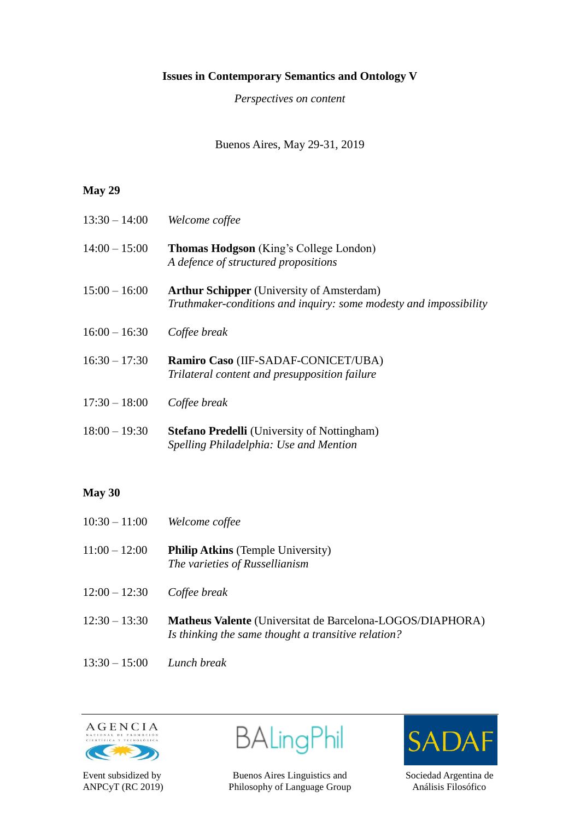## **Issues in Contemporary Semantics and Ontology V**

*Perspectives on content*

Buenos Aires, May 29-31, 2019

## **May 29**

| $13:30 - 14:00$ | Welcome coffee                                                                                                        |
|-----------------|-----------------------------------------------------------------------------------------------------------------------|
| $14:00 - 15:00$ | <b>Thomas Hodgson</b> (King's College London)<br>A defence of structured propositions                                 |
| $15:00 - 16:00$ | <b>Arthur Schipper</b> (University of Amsterdam)<br>Truthmaker-conditions and inquiry: some modesty and impossibility |
| $16:00 - 16:30$ | Coffee break                                                                                                          |
| $16:30 - 17:30$ | Ramiro Caso (IIF-SADAF-CONICET/UBA)<br>Trilateral content and presupposition failure                                  |
| $17:30 - 18:00$ | Coffee break                                                                                                          |
| $18:00 - 19:30$ | <b>Stefano Predelli</b> (University of Nottingham)<br>Spelling Philadelphia: Use and Mention                          |

## **May 30**

- 10:30 11:00 *Welcome coffee*
- 11:00 12:00 **Philip Atkins** (Temple University) *The varieties of Russellianism*
- 12:00 12:30 *Coffee break*
- 12:30 13:30 **Matheus Valente** (Universitat de Barcelona-LOGOS/DIAPHORA) *Is thinking the same thought a transitive relation?*
- 13:30 15:00 *Lunch break*



BALingPhil

Event subsidized by Buenos Aires Linguistics and Sociedad Argentina de ANPCyT (RC 2019) Philosophy of Language Group Análisis Filosófico